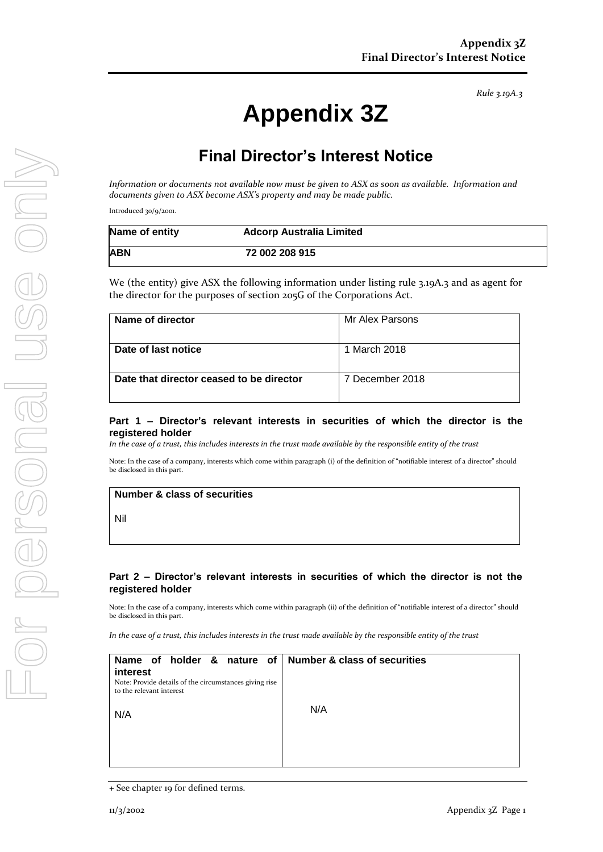# **Appendix 3Z**

## **Final Director's Interest Notice**

*Information or documents not available now must be given to ASX as soon as available. Information and documents given to ASX become ASX's property and may be made public.*

Introduced 30/9/2001.

| Name of entity | <b>Adcorp Australia Limited</b> |  |
|----------------|---------------------------------|--|
| <b>ABN</b>     | 72 002 208 915                  |  |

We (the entity) give ASX the following information under listing rule 3.19A.3 and as agent for the director for the purposes of section 205G of the Corporations Act.

| Name of director                         | Mr Alex Parsons |
|------------------------------------------|-----------------|
| Date of last notice                      | 1 March 2018    |
| Date that director ceased to be director | 7 December 2018 |

#### **Part 1 – Director's relevant interests in securities of which the director is the registered holder**

*In the case of a trust, this includes interests in the trust made available by the responsible entity of the trust*

Note: In the case of a company, interests which come within paragraph (i) of the definition of "notifiable interest of a director" should be disclosed in this part.

**Number & class of securities**

Nil

#### **Part 2 – Director's relevant interests in securities of which the director is not the registered holder**

Note: In the case of a company, interests which come within paragraph (ii) of the definition of "notifiable interest of a director" should be disclosed in this part.

*In the case of a trust, this includes interests in the trust made available by the responsible entity of the trust*

| Name of holder & nature of Number & class of securities<br>interest<br>Note: Provide details of the circumstances giving rise<br>to the relevant interest |     |
|-----------------------------------------------------------------------------------------------------------------------------------------------------------|-----|
| N/A                                                                                                                                                       | N/A |
|                                                                                                                                                           |     |

*Rule 3.19A.3*

<sup>+</sup> See chapter 19 for defined terms.